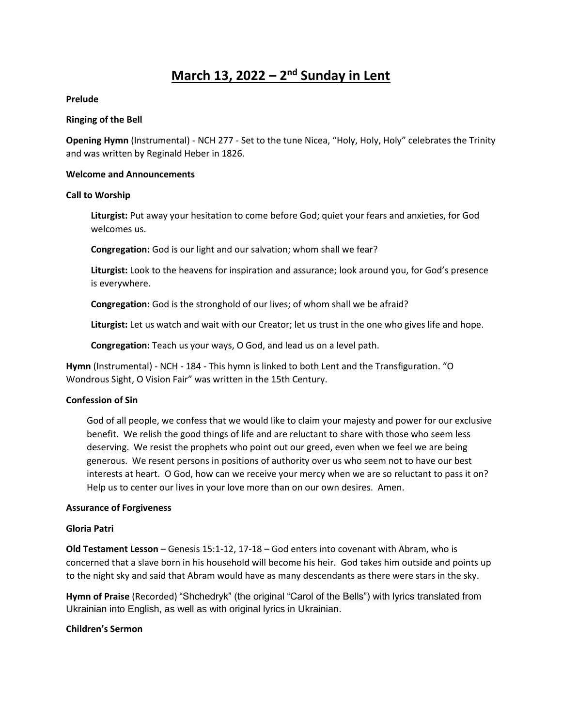# **March 13, 2022 – 2 nd Sunday in Lent**

#### **Prelude**

#### **Ringing of the Bell**

**Opening Hymn** (Instrumental) - NCH 277 - Set to the tune Nicea, "Holy, Holy, Holy" celebrates the Trinity and was written by Reginald Heber in 1826.

#### **Welcome and Announcements**

#### **Call to Worship**

**Liturgist:** Put away your hesitation to come before God; quiet your fears and anxieties, for God welcomes us.

**Congregation:** God is our light and our salvation; whom shall we fear?

**Liturgist:** Look to the heavens for inspiration and assurance; look around you, for God's presence is everywhere.

**Congregation:** God is the stronghold of our lives; of whom shall we be afraid?

**Liturgist:** Let us watch and wait with our Creator; let us trust in the one who gives life and hope.

**Congregation:** Teach us your ways, O God, and lead us on a level path.

**Hymn** (Instrumental) - NCH - 184 - This hymn is linked to both Lent and the Transfiguration. "O Wondrous Sight, O Vision Fair" was written in the 15th Century.

## **Confession of Sin**

God of all people, we confess that we would like to claim your majesty and power for our exclusive benefit. We relish the good things of life and are reluctant to share with those who seem less deserving. We resist the prophets who point out our greed, even when we feel we are being generous. We resent persons in positions of authority over us who seem not to have our best interests at heart. O God, how can we receive your mercy when we are so reluctant to pass it on? Help us to center our lives in your love more than on our own desires. Amen.

#### **Assurance of Forgiveness**

## **Gloria Patri**

**Old Testament Lesson** – Genesis 15:1-12, 17-18 – God enters into covenant with Abram, who is concerned that a slave born in his household will become his heir. God takes him outside and points up to the night sky and said that Abram would have as many descendants as there were stars in the sky.

**Hymn of Praise** (Recorded) "Shchedryk" (the original "Carol of the Bells") with lyrics translated from Ukrainian into English, as well as with original lyrics in Ukrainian.

## **Children's Sermon**